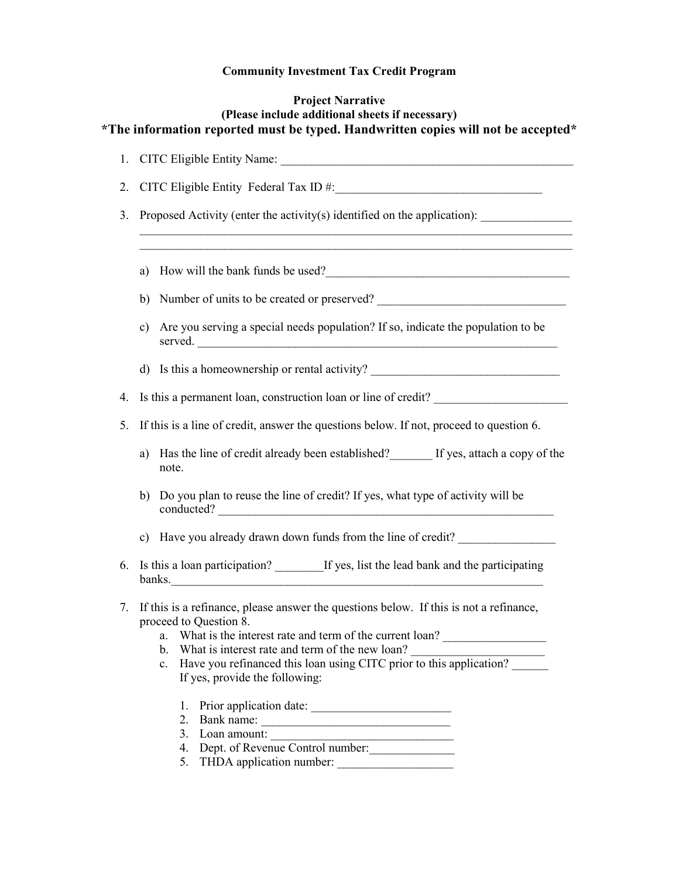# **Community Investment Tax Credit Program**

# **Project Narrative (Please include additional sheets if necessary) \*The information reported must be typed. Handwritten copies will not be accepted\***

| 1. |                                                                                                                                                                                                                                                                                                                                                                                                                                                   |
|----|---------------------------------------------------------------------------------------------------------------------------------------------------------------------------------------------------------------------------------------------------------------------------------------------------------------------------------------------------------------------------------------------------------------------------------------------------|
| 2. |                                                                                                                                                                                                                                                                                                                                                                                                                                                   |
| 3. | Proposed Activity (enter the activity(s) identified on the application): ___________________________                                                                                                                                                                                                                                                                                                                                              |
|    | a) How will the bank funds be used?                                                                                                                                                                                                                                                                                                                                                                                                               |
|    | b) Number of units to be created or preserved?                                                                                                                                                                                                                                                                                                                                                                                                    |
|    | Are you serving a special needs population? If so, indicate the population to be<br>c)<br>served.                                                                                                                                                                                                                                                                                                                                                 |
|    | d) Is this a homeownership or rental activity?                                                                                                                                                                                                                                                                                                                                                                                                    |
| 4. | Is this a permanent loan, construction loan or line of credit?                                                                                                                                                                                                                                                                                                                                                                                    |
| 5. | If this is a line of credit, answer the questions below. If not, proceed to question 6.                                                                                                                                                                                                                                                                                                                                                           |
|    | a) Has the line of credit already been established? If yes, attach a copy of the<br>note.                                                                                                                                                                                                                                                                                                                                                         |
|    | Do you plan to reuse the line of credit? If yes, what type of activity will be<br>b)<br>conducted?                                                                                                                                                                                                                                                                                                                                                |
|    | c) Have you already drawn down funds from the line of credit?                                                                                                                                                                                                                                                                                                                                                                                     |
| 6. | Is this a loan participation? ________ If yes, list the lead bank and the participating<br>banks.                                                                                                                                                                                                                                                                                                                                                 |
| 7. | If this is a refinance, please answer the questions below. If this is not a refinance,<br>proceed to Question 8.<br>a. What is the interest rate and term of the current loan?<br>What is interest rate and term of the new loan?<br>b.<br>Have you refinanced this loan using CITC prior to this application?<br>c.<br>If yes, provide the following:<br>1.<br>2.<br>3.<br>Dept. of Revenue Control number:<br>4.<br>5. THDA application number: |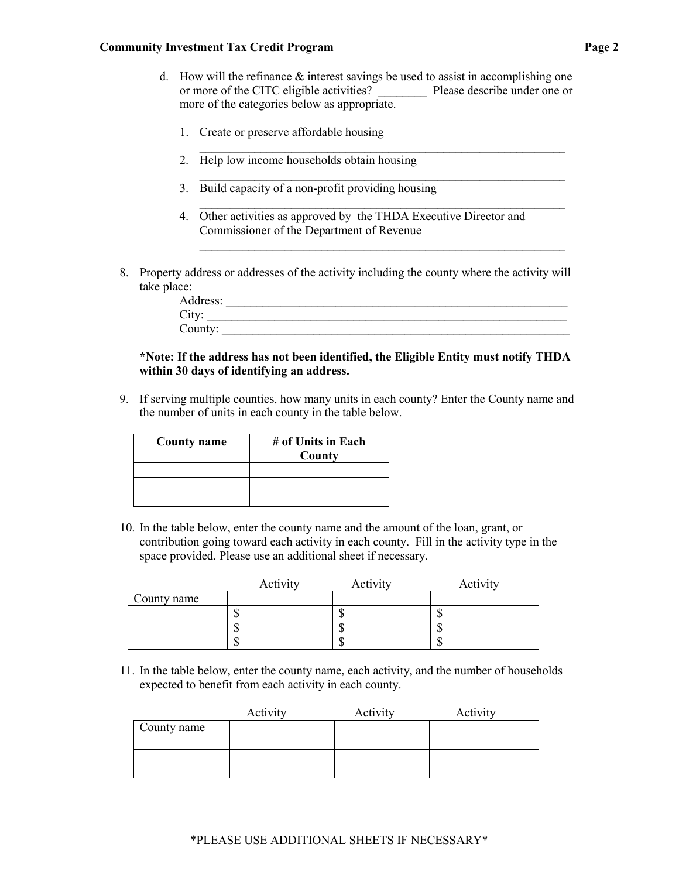#### **Community Investment Tax Credit Program**  Page 2

d. How will the refinance  $\&$  interest savings be used to assist in accomplishing one or more of the CITC eligible activities? Please describe under one or more of the categories below as appropriate.

 $\_$  , and the set of the set of the set of the set of the set of the set of the set of the set of the set of the set of the set of the set of the set of the set of the set of the set of the set of the set of the set of th

 $\mathcal{L}_\text{max}$  , and the contribution of the contribution of the contribution of the contribution of the contribution of the contribution of the contribution of the contribution of the contribution of the contribution of t

 $\_$  , and the set of the set of the set of the set of the set of the set of the set of the set of the set of the set of the set of the set of the set of the set of the set of the set of the set of the set of the set of th

 $\_$  , and the set of the set of the set of the set of the set of the set of the set of the set of the set of the set of the set of the set of the set of the set of the set of the set of the set of the set of the set of th

- 1. Create or preserve affordable housing
- 2. Help low income households obtain housing
- 3. Build capacity of a non-profit providing housing
- 4. Other activities as approved by the THDA Executive Director and Commissioner of the Department of Revenue
- 8. Property address or addresses of the activity including the county where the activity will take place:

| $A \vec{c}$<br>ddress:<br>$\overline{1}$ $\overline{1}$ |  |
|---------------------------------------------------------|--|
| $\sim$<br><b>C</b> <sub>1</sub>                         |  |
| County:                                                 |  |

## **\*Note: If the address has not been identified, the Eligible Entity must notify THDA within 30 days of identifying an address.**

9. If serving multiple counties, how many units in each county? Enter the County name and the number of units in each county in the table below.

| <b>County name</b> | # of Units in Each<br>County |
|--------------------|------------------------------|
|                    |                              |
|                    |                              |
|                    |                              |

10. In the table below, enter the county name and the amount of the loan, grant, or contribution going toward each activity in each county. Fill in the activity type in the space provided. Please use an additional sheet if necessary.

|             | Activity | Activity | Activity |
|-------------|----------|----------|----------|
| County name |          |          |          |
|             |          |          | AL.      |
|             |          |          | AL.      |
|             |          |          | AU.      |

11. In the table below, enter the county name, each activity, and the number of households expected to benefit from each activity in each county.

|             | Activity | Activity | Activity |
|-------------|----------|----------|----------|
| County name |          |          |          |
|             |          |          |          |
|             |          |          |          |
|             |          |          |          |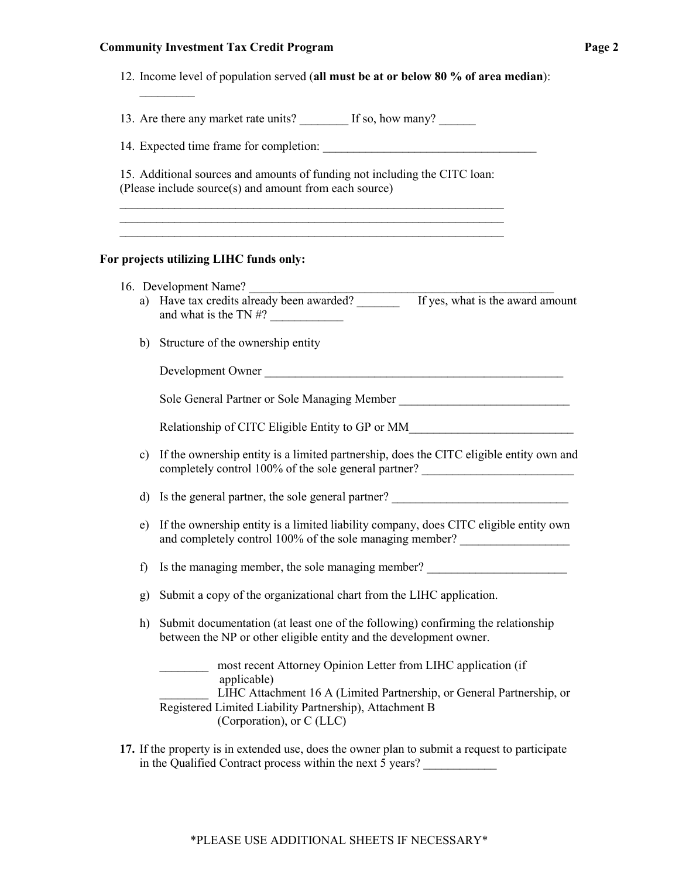#### **Community Investment Tax Credit Program**

12. Income level of population served (**all must be at or below 80 % of area median**):

13. Are there any market rate units? If so, how many?

14. Expected time frame for completion:

15. Additional sources and amounts of funding not including the CITC loan: (Please include source(s) and amount from each source)  $\_$  , and the contribution of the contribution of  $\mathcal{L}_\mathcal{A}$  , and the contribution of  $\mathcal{L}_\mathcal{A}$ 

 $\_$  , and the set of the set of the set of the set of the set of the set of the set of the set of the set of the set of the set of the set of the set of the set of the set of the set of the set of the set of the set of th  $\_$  , and the set of the set of the set of the set of the set of the set of the set of the set of the set of the set of the set of the set of the set of the set of the set of the set of the set of the set of the set of th

### **For projects utilizing LIHC funds only:**

| 16. Development Name? |  |
|-----------------------|--|
|                       |  |

 $\frac{1}{2}$ 

- a) Have tax credits already been awarded? If yes, what is the award amount and what is the TN  $#?$
- b) Structure of the ownership entity

| Development Owner |  |
|-------------------|--|
|                   |  |

Sole General Partner or Sole Managing Member

Relationship of CITC Eligible Entity to GP or MM

c) If the ownership entity is a limited partnership, does the CITC eligible entity own and completely control 100% of the sole general partner? \_\_\_\_\_\_\_\_\_\_\_\_\_\_\_\_\_\_\_\_\_\_\_\_\_\_\_

d) Is the general partner, the sole general partner?

- e) If the ownership entity is a limited liability company, does CITC eligible entity own and completely control 100% of the sole managing member?
- f) Is the managing member, the sole managing member?
- g) Submit a copy of the organizational chart from the LIHC application.
- h) Submit documentation (at least one of the following) confirming the relationship between the NP or other eligible entity and the development owner.

\_\_\_\_\_\_\_\_ most recent Attorney Opinion Letter from LIHC application (if applicable) LIHC Attachment 16 A (Limited Partnership, or General Partnership, or Registered Limited Liability Partnership), Attachment B (Corporation), or C (LLC)

**17.** If the property is in extended use, does the owner plan to submit a request to participate in the Qualified Contract process within the next 5 years?